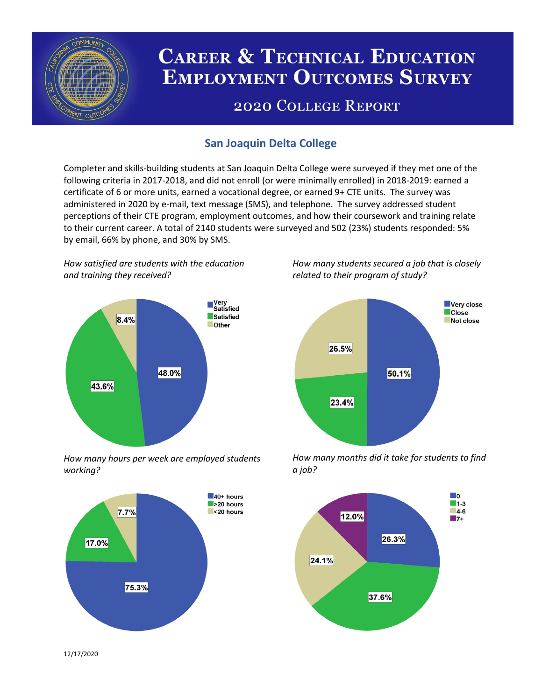

# **CAREER & TECHNICAL EDUCATION EMPLOYMENT OUTCOMES SURVEY**

## **2020 COLLEGE REPORT**

## **San Joaquin Delta College**

Completer and skills-building students at San Joaquin Delta College were surveyed if they met one of the following criteria in 2017-2018, and did not enroll (or were minimally enrolled) in 2018-2019: earned a certificate of 6 or more units, earned a vocational degree, or earned 9+ CTE units. The survey was administered in 2020 by e-mail, text message (SMS), and telephone. The survey addressed student perceptions of their CTE program, employment outcomes, and how their coursework and training relate to their current career. A total of 2140 students were surveyed and 502 (23%) students responded: 5% by email, 66% by phone, and 30% by SMS.

*How satisfied are students with the education and training they received?*



*How many hours per week are employed students working?*



*How many students secured a job that is closely related to their program of study?*



*How many months did it take for students to find a job?*



12/17/2020